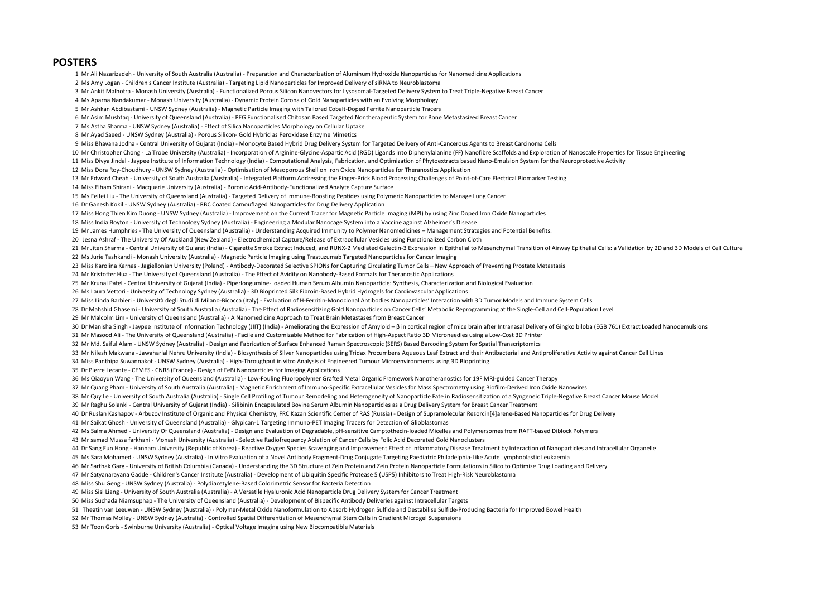## **POSTERS**

Mr Ali Nazarizadeh - University of South Australia (Australia) - Preparation and Characterization of Aluminum Hydroxide Nanoparticles for Nanomedicine Applications

Ms Amy Logan - Children's Cancer Institute (Australia) - Targeting Lipid Nanoparticles for Improved Delivery of siRNA to Neuroblastoma

- Mr Ankit Malhotra Monash University (Australia) Functionalized Porous Silicon Nanovectors for Lysosomal-Targeted Delivery System to Treat Triple-Negative Breast Cancer
- Ms Aparna Nandakumar Monash University (Australia) Dynamic Protein Corona of Gold Nanoparticles with an Evolving Morphology
- Mr Ashkan Abdibastami UNSW Sydney (Australia) Magnetic Particle Imaging with Tailored Cobalt-Doped Ferrite Nanoparticle Tracers
- Mr Asim Mushtaq University of Queensland (Australia) PEG Functionalised Chitosan Based Targeted Nontherapeutic System for Bone Metastasized Breast Cancer
- Ms Astha Sharma UNSW Sydney (Australia) Effect of Silica Nanoparticles Morphology on Cellular Uptake

Mr Ayad Saeed - UNSW Sydney (Australia) - Porous Silicon- Gold Hybrid as Peroxidase Enzyme Mimetics

Miss Bhavana Jodha - Central University of Gujarat (India) - Monocyte Based Hybrid Drug Delivery System for Targeted Delivery of Anti-Cancerous Agents to Breast Carcinoma Cells

10 Mr Christopher Chong - La Trobe University (Australia) - Incorporation of Arginine-Glycine-Aspartic Acid (RGD) Ligands into Diphenylalanine (FF) Nanofibre Scaffolds and Exploration of Nanoscale Properties for Tissue Eng

Miss Divya Jindal - Jaypee Institute of Information Technology (India) - Computational Analysis, Fabrication, and Optimization of Phytoextracts based Nano-Emulsion System for the Neuroprotective Activity

- Miss Dora Roy-Choudhury UNSW Sydney (Australia) Optimisation of Mesoporous Shell on Iron Oxide Nanoparticles for Theranostics Application
- Mr Edward Cheah University of South Australia (Australia) Integrated Platform Addressing the Finger-Prick Blood Processing Challenges of Point-of-Care Electrical Biomarker Testing

Miss Elham Shirani - Macquarie University (Australia) - Boronic Acid-Antibody-Functionalized Analyte Capture Surface

Ms Feifei Liu - The University of Queensland (Australia) - Targeted Delivery of Immune-Boosting Peptides using Polymeric Nanoparticles to Manage Lung Cancer

Dr Ganesh Kokil - UNSW Sydney (Australia) - RBC Coated Camouflaged Nanoparticles for Drug Delivery Application

Miss Hong Thien Kim Duong - UNSW Sydney (Australia) - Improvement on the Current Tracer for Magnetic Particle Imaging (MPI) by using Zinc Doped Iron Oxide Nanoparticles

Miss India Boyton - University of Technology Sydney (Australia) - Engineering a Modular Nanocage System into a Vaccine against Alzheimer's Disease

Mr James Humphries - The University of Queensland (Australia) - Understanding Acquired Immunity to Polymer Nanomedicines – Management Strategies and Potential Benefits.

20 Jesna Ashraf - The University Of Auckland (New Zealand) - Electrochemical Capture/Release of Extracellular Vesicles using Functionalized Carbon Cloth

21 Mr Jiten Sharma - Central University of Gujarat (India) - Cigarette Smoke Extract Induced, and RUNX-2 Mediated Galectin-3 Expression in Epithelial to Mesenchymal Transition of Airway Epithelial Cells: a Validation by 2D

Ms Jurie Tashkandi - Monash University (Australia) - Magnetic Particle Imaging using Trastuzumab Targeted Nanoparticles for Cancer Imaging

23 Miss Karolina Karnas - Jagiellonian University (Poland) - Antibody-Decorated Selective SPIONs for Capturing Circulating Tumor Cells – New Approach of Preventing Prostate Metastasis

Mr Kristoffer Hua - The University of Queensland (Australia) - The Effect of Avidity on Nanobody-Based Formats for Theranostic Applications

Mr Krunal Patel - Central University of Gujarat (India) - Piperlongumine-Loaded Human Serum Albumin Nanoparticle: Synthesis, Characterization and Biological Evaluation

Ms Laura Vettori - University of Technology Sydney (Australia) - 3D Bioprinted Silk Fibroin-Based Hybrid Hydrogels for Cardiovascular Applications

Miss Linda Barbieri - Università degli Studi di Milano-Bicocca (Italy) - Evaluation of H-Ferritin-Monoclonal Antibodies Nanoparticles' Interaction with 3D Tumor Models and Immune System Cells

Dr Mahshid Ghasemi - University of South Australia (Australia) - The Effect of Radiosensitizing Gold Nanoparticles on Cancer Cells' Metabolic Reprogramming at the Single-Cell and Cell-Population Level

Mr Malcolm Lim - University of Queensland (Australia) - A Nanomedicine Approach to Treat Brain Metastases from Breast Cancer

30 Dr Manisha Singh - Jaypee Institute of Information Technology (JIIT) (India) - Ameliorating the Expression of Amyloid - B in cortical region of mice brain after Intranasal Delivery of Gingko biloba (EGB 761) Extract Loa

Mr Masood Ali - The University of Queensland (Australia) - Facile and Customizable Method for Fabrication of High-Aspect Ratio 3D Microneedles using a Low-Cost 3D Printer

Mr Md. Saiful Alam - UNSW Sydney (Australia) - Design and Fabrication of Surface Enhanced Raman Spectroscopic (SERS) Based Barcoding System for Spatial Transcriptomics

Mr Nilesh Makwana - Jawaharlal Nehru University (India) - Biosynthesis of Silver Nanoparticles using Tridax Procumbens Aqueous Leaf Extract and their Antibacterial and Antiproliferative Activity against Cancer Cell Lines

Miss Panthipa Suwannakot - UNSW Sydney (Australia) - High-Throughput in vitro Analysis of Engineered Tumour Microenvironments using 3D Bioprinting

Dr Pierre Lecante - CEMES - CNRS (France) - Design of FeBi Nanoparticles for Imaging Applications

Ms Qiaoyun Wang - The University of Queensland (Australia) - Low-Fouling Fluoropolymer Grafted Metal Organic Framework Nanotheranostics for 19F MRI-guided Cancer Therapy

37 Mr Quang Pham - University of South Australia (Australia) - Magnetic Enrichment of Immuno-Specific Extracellular Vesicles for Mass Spectrometry using Biofilm-Derived Iron Oxide Nanowires

38 Mr Quy Le - University of South Australia (Australia) - Single Cell Profiling of Tumour Remodeling and Heterogeneity of Nanoparticle Fate in Radiosensitization of a Syngeneic Triple-Negative Breast Cancer Mouse Model

Mr Raghu Solanki - Central University of Gujarat (India) - Silibinin Encapsulated Bovine Serum Albumin Nanoparticles as a Drug Delivery System for Breast Cancer Treatment

Dr Ruslan Kashapov - Arbuzov Institute of Organic and Physical Chemistry, FRC Kazan Scientific Center of RAS (Russia) - Design of Supramolecular Resorcin[4]arene-Based Nanoparticles for Drug Delivery

Mr Saikat Ghosh - University of Queensland (Australia) - Glypican-1 Targeting Immuno-PET Imaging Tracers for Detection of Glioblastomas

Ms Salma Ahmed - University Of Queensland (Australia) - Design and Evaluation of Degradable, pH-sensitive Camptothecin-loaded Micelles and Polymersomes from RAFT-based Diblock Polymers

Mr samad Mussa farkhani - Monash University (Australia) - Selective Radiofrequency Ablation of Cancer Cells by Folic Acid Decorated Gold Nanoclusters

Dr Sang Eun Hong - Hannam University (Republic of Korea) - Reactive Oxygen Species Scavenging and Improvement Effect of Inflammatory Disease Treatment by Interaction of Nanoparticles and Intracellular Organelle

Ms Sara Mohamed - UNSW Sydney (Australia) - In Vitro Evaluation of a Novel Antibody Fragment-Drug Conjugate Targeting Paediatric Philadelphia-Like Acute Lymphoblastic Leukaemia

Mr Sarthak Garg - University of British Columbia (Canada) - Understanding the 3D Structure of Zein Protein and Zein Protein Nanoparticle Formulations in Silico to Optimize Drug Loading and Delivery

Mr Satyanarayana Gadde - Children's Cancer Institute (Australia) - Development of Ubiquitin Specific Protease 5 (USP5) Inhibitors to Treat High-Risk Neuroblastoma

Miss Shu Geng - UNSW Sydney (Australia) - Polydiacetylene-Based Colorimetric Sensor for Bacteria Detection

Miss Sisi Liang - University of South Australia (Australia) - A Versatile Hyaluronic Acid Nanoparticle Drug Delivery System for Cancer Treatment

Miss Suchada Niamsuphap - The University of Queensland (Australia) - Development of Bispecific Antibody Deliveries against Intracellular Targets

51 Theatin van Leeuwen - UNSW Sydney (Australia) - Polymer-Metal Oxide Nanoformulation to Absorb Hydrogen Sulfide and Destabilise Sulfide-Producing Bacteria for Improved Bowel Health

Mr Thomas Molley - UNSW Sydney (Australia) - Controlled Spatial Differentiation of Mesenchymal Stem Cells in Gradient Microgel Suspensions

Mr Toon Goris - Swinburne University (Australia) - Optical Voltage Imaging using New Biocompatible Materials